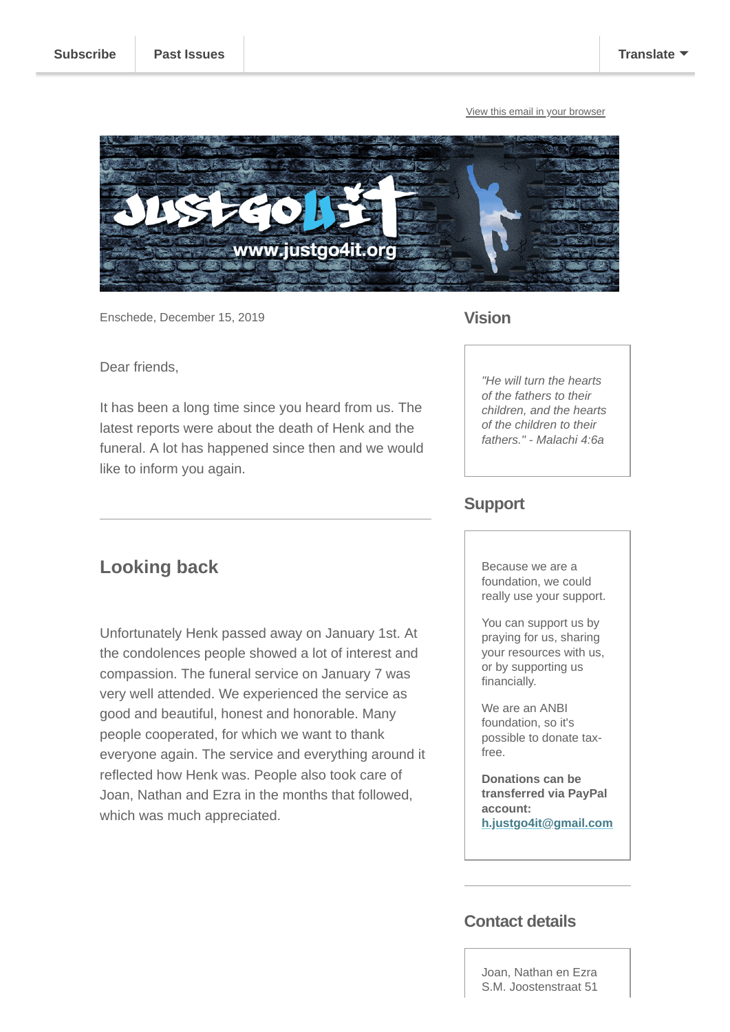[View this email in your browser](https://mailchi.mp/0a05d0724f52/zzmtz6ilz0-4739525?e=[UNIQID])



Enschede, December 15, 2019

### **Vision**

Dear friends,

**Looking back**

which was much appreciated.

It has been a long time since you heard from us. The latest reports were about the death of Henk and the funeral. A lot has happened since then and we would like to inform you again.

Unfortunately Henk passed away on January 1st. At the condolences people showed a lot of interest and compassion. The funeral service on January 7 was very well attended. We experienced the service as good and beautiful, honest and honorable. Many people cooperated, for which we want to thank

everyone again. The service and everything around it reflected how Henk was. People also took care of Joan, Nathan and Ezra in the months that followed,

*"He will turn the hearts of the fathers to their children, and the hearts of the children to their fathers." - Malachi 4:6a*

## **Support**

Because we are a foundation, we could really use your support.

You can support us by praying for us, sharing your resources with us, or by supporting us financially.

We are an ANBI foundation, so it's possible to donate taxfree.

**Donations can be transferred via PayPal account: [h.justgo4it@gmail.com](mailto:h.justgo4it@gmail.com)**

## **Contact details**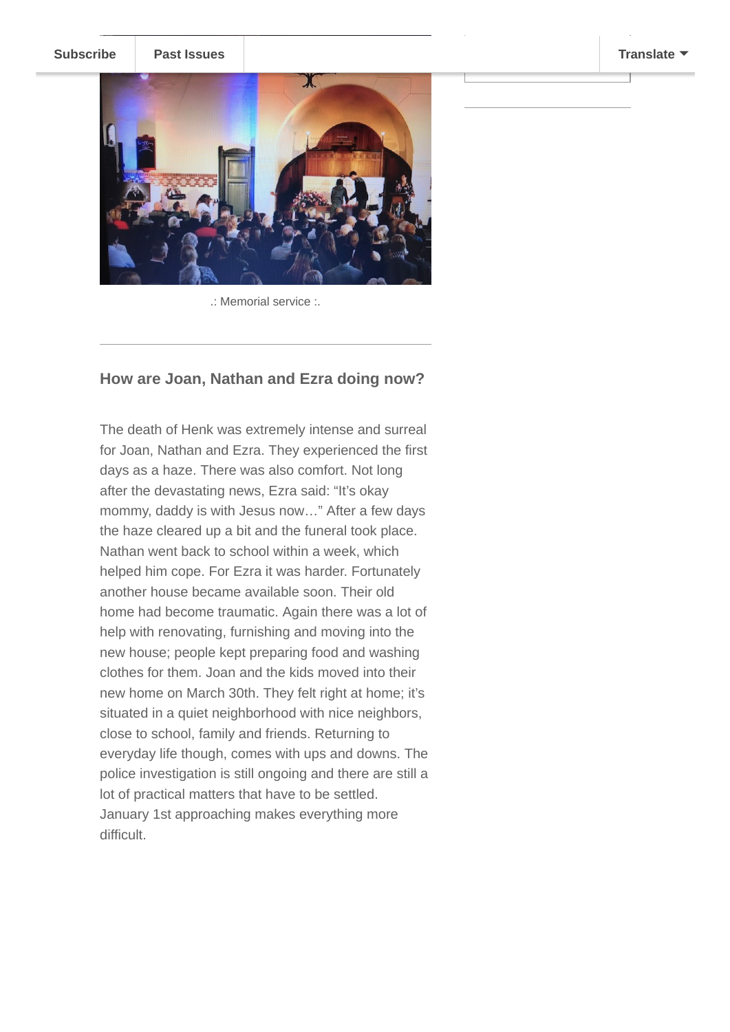**[Subscribe](http://eepurl.com/gcX0mv) [Past Issues](https://us10.campaign-archive.com/home/?u=2289d7206e534ef0076204f2d&id=9aa3de9192)** The Netherlands **[Translate](javascript:;)** 



.: Memorial service :.

#### **How are Joan, Nathan and Ezra doing now?**

The death of Henk was extremely intense and surreal for Joan, Nathan and Ezra. They experienced the first days as a haze. There was also comfort. Not long after the devastating news, Ezra said: "It's okay mommy, daddy is with Jesus now…" After a few days the haze cleared up a bit and the funeral took place. Nathan went back to school within a week, which helped him cope. For Ezra it was harder. Fortunately another house became available soon. Their old home had become traumatic. Again there was a lot of help with renovating, furnishing and moving into the new house; people kept preparing food and washing clothes for them. Joan and the kids moved into their new home on March 30th. They felt right at home; it's situated in a quiet neighborhood with nice neighbors, close to school, family and friends. Returning to everyday life though, comes with ups and downs. The police investigation is still ongoing and there are still a lot of practical matters that have to be settled. January 1st approaching makes everything more difficult.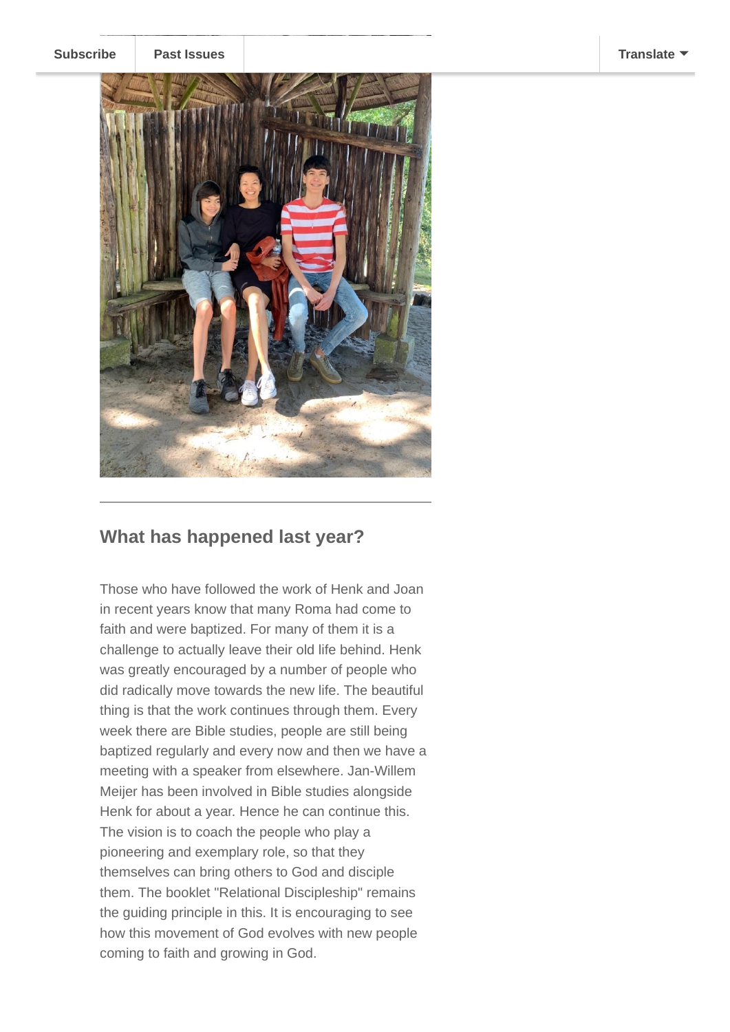



## **What has happened last year?**

Those who have followed the work of Henk and Joan in recent years know that many Roma had come to faith and were baptized. For many of them it is a challenge to actually leave their old life behind. Henk was greatly encouraged by a number of people who did radically move towards the new life. The beautiful thing is that the work continues through them. Every week there are Bible studies, people are still being baptized regularly and every now and then we have a meeting with a speaker from elsewhere. Jan-Willem Meijer has been involved in Bible studies alongside Henk for about a year. Hence he can continue this. The vision is to coach the people who play a pioneering and exemplary role, so that they themselves can bring others to God and disciple them. The booklet "Relational Discipleship" remains the guiding principle in this. It is encouraging to see how this movement of God evolves with new people coming to faith and growing in God.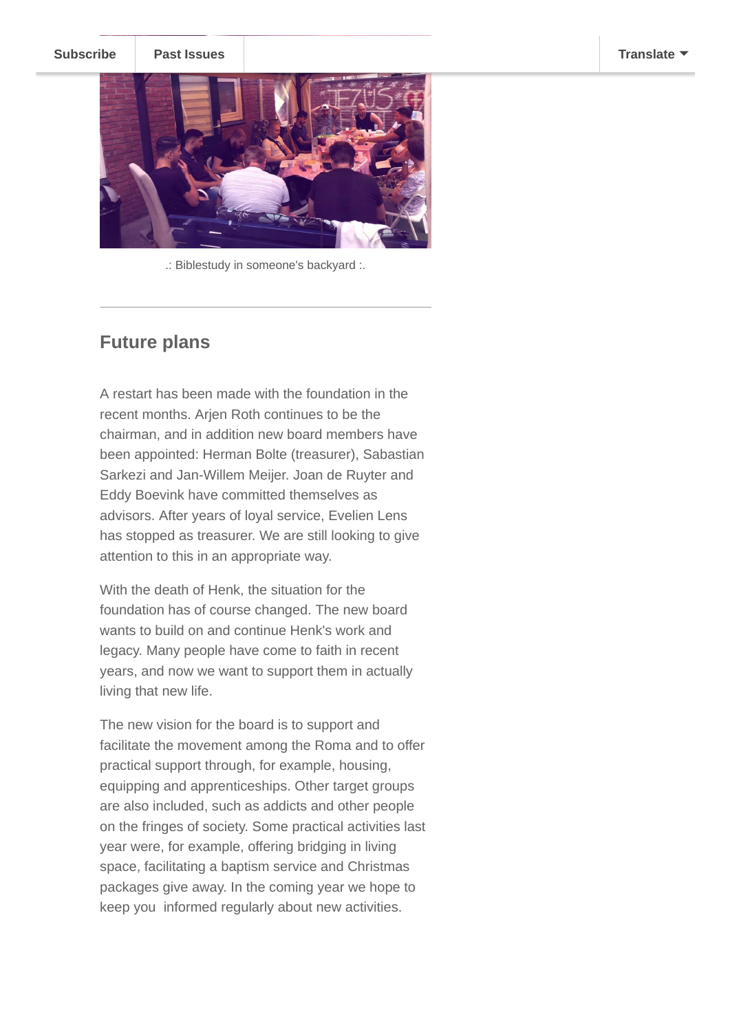

.: Biblestudy in someone's backyard :.

## **Future plans**

A restart has been made with the foundation in the recent months. Arjen Roth continues to be the chairman, and in addition new board members have been appointed: Herman Bolte (treasurer), Sabastian Sarkezi and Jan-Willem Meijer. Joan de Ruyter and Eddy Boevink have committed themselves as advisors. After years of loyal service, Evelien Lens has stopped as treasurer. We are still looking to give attention to this in an appropriate way.

With the death of Henk, the situation for the foundation has of course changed. The new board wants to build on and continue Henk's work and legacy. Many people have come to faith in recent years, and now we want to support them in actually living that new life.

The new vision for the board is to support and facilitate the movement among the Roma and to offer practical support through, for example, housing, equipping and apprenticeships. Other target groups are also included, such as addicts and other people on the fringes of society. Some practical activities last year were, for example, offering bridging in living space, facilitating a baptism service and Christmas packages give away. In the coming year we hope to keep you informed regularly about new activities.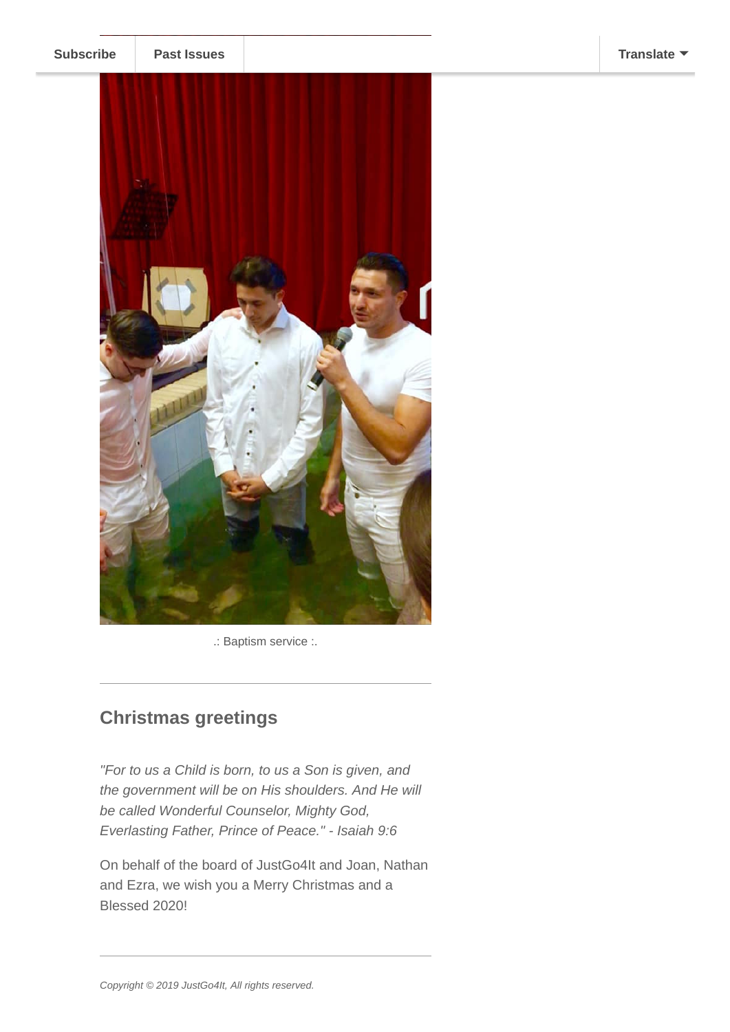

.: Baptism service :.

# **Christmas greetings**

*"For to us a Child is born, to us a Son is given, and the government will be on His shoulders. And He will be called Wonderful Counselor, Mighty God, Everlasting Father, Prince of Peace." - Isaiah 9:6*

On behalf of the board of JustGo4It and Joan, Nathan and Ezra, we wish you a Merry Christmas and a Blessed 2020!